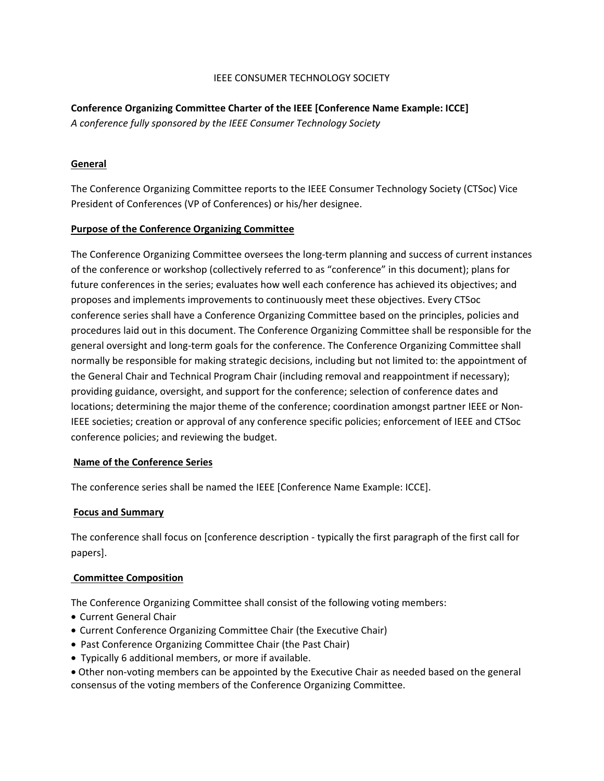## IEEE CONSUMER TECHNOLOGY SOCIETY

# **Conference Organizing Committee Charter of the IEEE [Conference Name Example: ICCE]**

*A conference fully sponsored by the IEEE Consumer Technology Society* 

# **General**

The Conference Organizing Committee reports to the IEEE Consumer Technology Society (CTSoc) Vice President of Conferences (VP of Conferences) or his/her designee.

## **Purpose of the Conference Organizing Committee**

The Conference Organizing Committee oversees the long-term planning and success of current instances of the conference or workshop (collectively referred to as "conference" in this document); plans for future conferences in the series; evaluates how well each conference has achieved its objectives; and proposes and implements improvements to continuously meet these objectives. Every CTSoc conference series shall have a Conference Organizing Committee based on the principles, policies and procedures laid out in this document. The Conference Organizing Committee shall be responsible for the general oversight and long-term goals for the conference. The Conference Organizing Committee shall normally be responsible for making strategic decisions, including but not limited to: the appointment of the General Chair and Technical Program Chair (including removal and reappointment if necessary); providing guidance, oversight, and support for the conference; selection of conference dates and locations; determining the major theme of the conference; coordination amongst partner IEEE or Non-IEEE societies; creation or approval of any conference specific policies; enforcement of IEEE and CTSoc conference policies; and reviewing the budget.

## **Name of the Conference Series**

The conference series shall be named the IEEE [Conference Name Example: ICCE].

## **Focus and Summary**

The conference shall focus on [conference description - typically the first paragraph of the first call for papers].

## **Committee Composition**

The Conference Organizing Committee shall consist of the following voting members:

- Current General Chair
- Current Conference Organizing Committee Chair (the Executive Chair)
- Past Conference Organizing Committee Chair (the Past Chair)
- Typically 6 additional members, or more if available.
- Other non-voting members can be appointed by the Executive Chair as needed based on the general consensus of the voting members of the Conference Organizing Committee.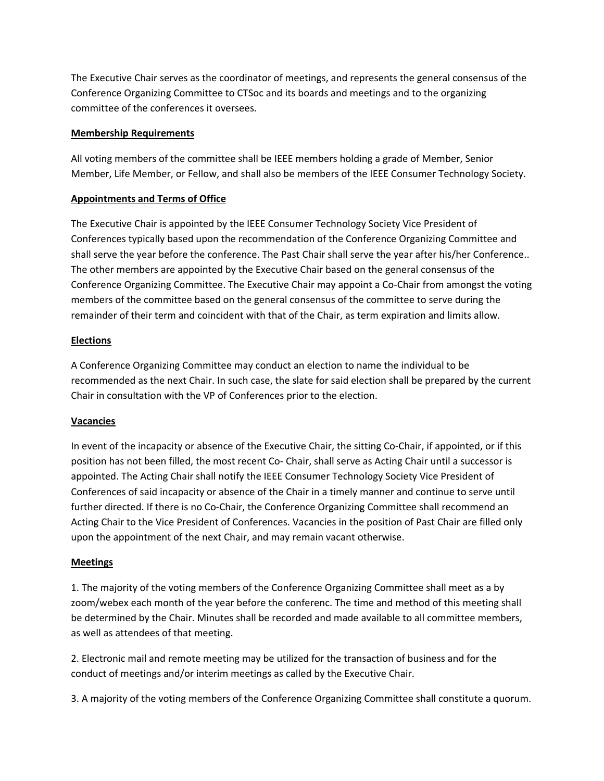The Executive Chair serves as the coordinator of meetings, and represents the general consensus of the Conference Organizing Committee to CTSoc and its boards and meetings and to the organizing committee of the conferences it oversees.

## **Membership Requirements**

All voting members of the committee shall be IEEE members holding a grade of Member, Senior Member, Life Member, or Fellow, and shall also be members of the IEEE Consumer Technology Society.

# **Appointments and Terms of Office**

The Executive Chair is appointed by the IEEE Consumer Technology Society Vice President of Conferences typically based upon the recommendation of the Conference Organizing Committee and shall serve the year before the conference. The Past Chair shall serve the year after his/her Conference.. The other members are appointed by the Executive Chair based on the general consensus of the Conference Organizing Committee. The Executive Chair may appoint a Co-Chair from amongst the voting members of the committee based on the general consensus of the committee to serve during the remainder of their term and coincident with that of the Chair, as term expiration and limits allow.

## **Elections**

A Conference Organizing Committee may conduct an election to name the individual to be recommended as the next Chair. In such case, the slate for said election shall be prepared by the current Chair in consultation with the VP of Conferences prior to the election.

## **Vacancies**

In event of the incapacity or absence of the Executive Chair, the sitting Co-Chair, if appointed, or if this position has not been filled, the most recent Co- Chair, shall serve as Acting Chair until a successor is appointed. The Acting Chair shall notify the IEEE Consumer Technology Society Vice President of Conferences of said incapacity or absence of the Chair in a timely manner and continue to serve until further directed. If there is no Co-Chair, the Conference Organizing Committee shall recommend an Acting Chair to the Vice President of Conferences. Vacancies in the position of Past Chair are filled only upon the appointment of the next Chair, and may remain vacant otherwise.

## **Meetings**

1. The majority of the voting members of the Conference Organizing Committee shall meet as a by zoom/webex each month of the year before the conferenc. The time and method of this meeting shall be determined by the Chair. Minutes shall be recorded and made available to all committee members, as well as attendees of that meeting.

2. Electronic mail and remote meeting may be utilized for the transaction of business and for the conduct of meetings and/or interim meetings as called by the Executive Chair.

3. A majority of the voting members of the Conference Organizing Committee shall constitute a quorum.